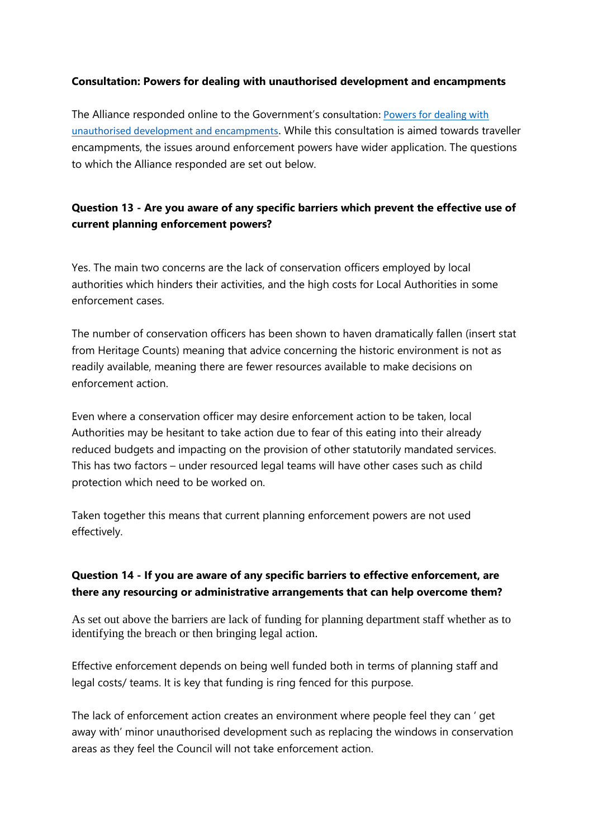## **Consultation: Powers for dealing with unauthorised development and encampments**

The Alliance responded online to the Government's consultation: [Powers for dealing with](https://assets.publishing.service.gov.uk/government/uploads/system/uploads/attachment_data/file/697354/Consultation_-_unauthorised_encampments.pdf)  [unauthorised development and encampments.](https://assets.publishing.service.gov.uk/government/uploads/system/uploads/attachment_data/file/697354/Consultation_-_unauthorised_encampments.pdf) While this consultation is aimed towards traveller encampments, the issues around enforcement powers have wider application. The questions to which the Alliance responded are set out below.

## **Question 13 - Are you aware of any specific barriers which prevent the effective use of current planning enforcement powers?**

Yes. The main two concerns are the lack of conservation officers employed by local authorities which hinders their activities, and the high costs for Local Authorities in some enforcement cases.

The number of conservation officers has been shown to haven dramatically fallen (insert stat from Heritage Counts) meaning that advice concerning the historic environment is not as readily available, meaning there are fewer resources available to make decisions on enforcement action.

Even where a conservation officer may desire enforcement action to be taken, local Authorities may be hesitant to take action due to fear of this eating into their already reduced budgets and impacting on the provision of other statutorily mandated services. This has two factors – under resourced legal teams will have other cases such as child protection which need to be worked on.

Taken together this means that current planning enforcement powers are not used effectively.

## **Question 14 - If you are aware of any specific barriers to effective enforcement, are there any resourcing or administrative arrangements that can help overcome them?**

As set out above the barriers are lack of funding for planning department staff whether as to identifying the breach or then bringing legal action.

Effective enforcement depends on being well funded both in terms of planning staff and legal costs/ teams. It is key that funding is ring fenced for this purpose.

The lack of enforcement action creates an environment where people feel they can ' get away with' minor unauthorised development such as replacing the windows in conservation areas as they feel the Council will not take enforcement action.